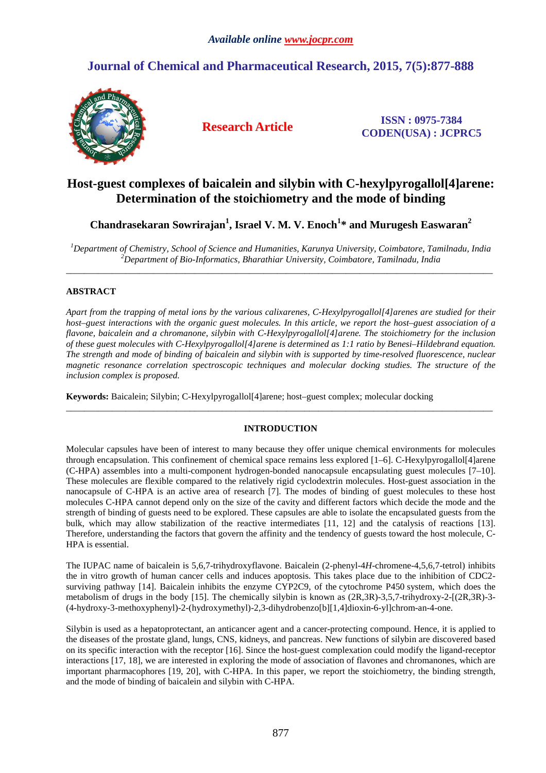# **Journal of Chemical and Pharmaceutical Research, 2015, 7(5):877-888**



**Research Article ISSN : 0975-7384 CODEN(USA) : JCPRC5**

# **Host-guest complexes of baicalein and silybin with C-hexylpyrogallol[4]arene: Determination of the stoichiometry and the mode of binding**

**Chandrasekaran Sowrirajan<sup>1</sup> , Israel V. M. V. Enoch<sup>1</sup> \* and Murugesh Easwaran<sup>2</sup>**

*<sup>1</sup>Department of Chemistry, School of Science and Humanities, Karunya University, Coimbatore, Tamilnadu, India <sup>2</sup>Department of Bio-Informatics, Bharathiar University, Coimbatore, Tamilnadu, India*  \_\_\_\_\_\_\_\_\_\_\_\_\_\_\_\_\_\_\_\_\_\_\_\_\_\_\_\_\_\_\_\_\_\_\_\_\_\_\_\_\_\_\_\_\_\_\_\_\_\_\_\_\_\_\_\_\_\_\_\_\_\_\_\_\_\_\_\_\_\_\_\_\_\_\_\_\_\_\_\_\_\_\_\_\_\_\_\_\_\_\_\_\_

# **ABSTRACT**

*Apart from the trapping of metal ions by the various calixarenes, C-Hexylpyrogallol[4]arenes are studied for their host–guest interactions with the organic guest molecules. In this article, we report the host–guest association of a flavone, baicalein and a chromanone, silybin with C-Hexylpyrogallol[4]arene. The stoichiometry for the inclusion of these guest molecules with C-Hexylpyrogallol[4]arene is determined as 1:1 ratio by Benesi–Hildebrand equation. The strength and mode of binding of baicalein and silybin with is supported by time-resolved fluorescence, nuclear magnetic resonance correlation spectroscopic techniques and molecular docking studies. The structure of the inclusion complex is proposed.*

**Keywords:** Baicalein; Silybin; C-Hexylpyrogallol[4]arene; host–guest complex; molecular docking

# **INTRODUCTION**

\_\_\_\_\_\_\_\_\_\_\_\_\_\_\_\_\_\_\_\_\_\_\_\_\_\_\_\_\_\_\_\_\_\_\_\_\_\_\_\_\_\_\_\_\_\_\_\_\_\_\_\_\_\_\_\_\_\_\_\_\_\_\_\_\_\_\_\_\_\_\_\_\_\_\_\_\_\_\_\_\_\_\_\_\_\_\_\_\_\_\_\_\_

Molecular capsules have been of interest to many because they offer unique chemical environments for molecules through encapsulation. This confinement of chemical space remains less explored [1–6]. C-Hexylpyrogallol[4]arene (C-HPA) assembles into a multi-component hydrogen-bonded nanocapsule encapsulating guest molecules [7–10]. These molecules are flexible compared to the relatively rigid cyclodextrin molecules. Host-guest association in the nanocapsule of C-HPA is an active area of research [7]. The modes of binding of guest molecules to these host molecules C-HPA cannot depend only on the size of the cavity and different factors which decide the mode and the strength of binding of guests need to be explored. These capsules are able to isolate the encapsulated guests from the bulk, which may allow stabilization of the reactive intermediates [11, 12] and the catalysis of reactions [13]. Therefore, understanding the factors that govern the affinity and the tendency of guests toward the host molecule, C-HPA is essential.

The IUPAC name of baicalein is 5,6,7-trihydroxyflavone. Baicalein (2-phenyl-4*H*-chromene-4,5,6,7-tetrol) inhibits the in vitro growth of human cancer cells and induces apoptosis. This takes place due to the inhibition of CDC2 surviving pathway [14]. Baicalein inhibits the enzyme CYP2C9, of the cytochrome P450 system, which does the metabolism of drugs in the body [15]. The chemically silybin is known as (2R,3R)-3,5,7-trihydroxy-2-[(2R,3R)-3- (4-hydroxy-3-methoxyphenyl)-2-(hydroxymethyl)-2,3-dihydrobenzo[b][1,4]dioxin-6-yl]chrom-an-4-one.

Silybin is used as a hepatoprotectant, an anticancer agent and a cancer-protecting compound. Hence, it is applied to the diseases of the prostate gland, lungs, CNS, kidneys, and pancreas. New functions of silybin are discovered based on its specific interaction with the receptor [16]. Since the host-guest complexation could modify the ligand-receptor interactions [17, 18], we are interested in exploring the mode of association of flavones and chromanones, which are important pharmacophores [19, 20], with C-HPA. In this paper, we report the stoichiometry, the binding strength, and the mode of binding of baicalein and silybin with C-HPA.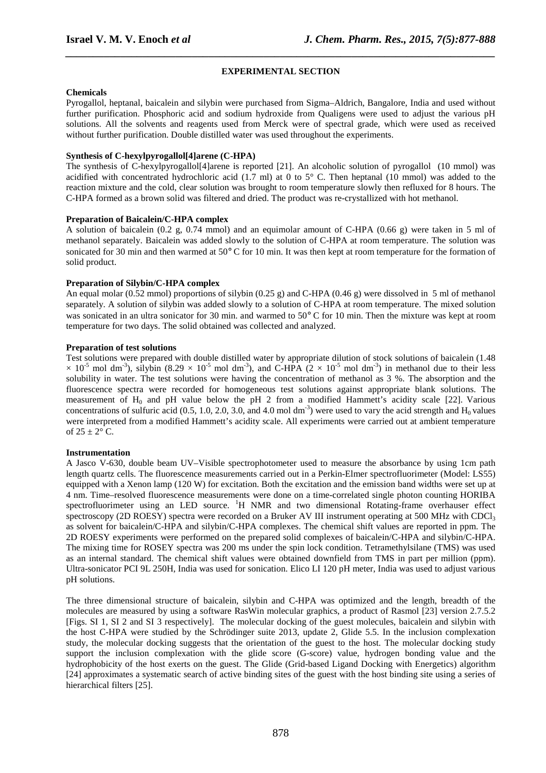## **EXPERIMENTAL SECTION**

*\_\_\_\_\_\_\_\_\_\_\_\_\_\_\_\_\_\_\_\_\_\_\_\_\_\_\_\_\_\_\_\_\_\_\_\_\_\_\_\_\_\_\_\_\_\_\_\_\_\_\_\_\_\_\_\_\_\_\_\_\_\_\_\_\_\_\_\_\_\_\_\_\_\_\_\_\_\_*

## **Chemicals**

Pyrogallol, heptanal, baicalein and silybin were purchased from Sigma–Aldrich, Bangalore, India and used without further purification. Phosphoric acid and sodium hydroxide from Qualigens were used to adjust the various pH solutions. All the solvents and reagents used from Merck were of spectral grade, which were used as received without further purification. Double distilled water was used throughout the experiments.

## **Synthesis of C-hexylpyrogallol[4]arene (C-HPA)**

The synthesis of C-hexylpyrogallol[4]arene is reported [21]. An alcoholic solution of pyrogallol (10 mmol) was acidified with concentrated hydrochloric acid (1.7 ml) at 0 to 5 $^{\circ}$  C. Then heptanal (10 mmol) was added to the reaction mixture and the cold, clear solution was brought to room temperature slowly then refluxed for 8 hours. The C-HPA formed as a brown solid was filtered and dried. The product was re-crystallized with hot methanol.

# **Preparation of Baicalein/C-HPA complex**

A solution of baicalein (0.2 g, 0.74 mmol) and an equimolar amount of C-HPA (0.66 g) were taken in 5 ml of methanol separately. Baicalein was added slowly to the solution of C-HPA at room temperature. The solution was sonicated for 30 min and then warmed at 50° C for 10 min. It was then kept at room temperature for the formation of solid product.

# **Preparation of Silybin/C-HPA complex**

An equal molar (0.52 mmol) proportions of silybin (0.25 g) and C-HPA (0.46 g) were dissolved in 5 ml of methanol separately. A solution of silybin was added slowly to a solution of C-HPA at room temperature. The mixed solution was sonicated in an ultra sonicator for 30 min. and warmed to 50° C for 10 min. Then the mixture was kept at room temperature for two days. The solid obtained was collected and analyzed.

# **Preparation of test solutions**

Test solutions were prepared with double distilled water by appropriate dilution of stock solutions of baicalein (1.48  $\times$  10<sup>-5</sup> mol dm<sup>-3</sup>), silybin (8.29  $\times$  10<sup>-5</sup> mol dm<sup>-3</sup>), and C-HPA (2  $\times$  10<sup>-5</sup> mol dm<sup>-3</sup>) in methanol due to their less solubility in water. The test solutions were having the concentration of methanol as 3 %. The absorption and the fluorescence spectra were recorded for homogeneous test solutions against appropriate blank solutions. The measurement of H<sub>0</sub> and pH value below the pH 2 from a modified Hammett's acidity scale [22]. Various concentrations of sulfuric acid (0.5, 1.0, 2.0, 3.0, and 4.0 mol dm<sup>-3</sup>) were used to vary the acid strength and  $H_0$  values were interpreted from a modified Hammett's acidity scale. All experiments were carried out at ambient temperature of  $25 \pm 2^{\circ}$  C.

## **Instrumentation**

A Jasco V-630, double beam UV–Visible spectrophotometer used to measure the absorbance by using 1cm path length quartz cells. The fluorescence measurements carried out in a Perkin-Elmer spectrofluorimeter (Model: LS55) equipped with a Xenon lamp (120 W) for excitation. Both the excitation and the emission band widths were set up at 4 nm. Time–resolved fluorescence measurements were done on a time-correlated single photon counting HORIBA spectrofluorimeter using an LED source. <sup>1</sup>H NMR and two dimensional Rotating-frame overhauser effect spectroscopy (2D ROESY) spectra were recorded on a Bruker AV III instrument operating at 500 MHz with CDCl<sub>3</sub> as solvent for baicalein/C-HPA and silybin/C-HPA complexes. The chemical shift values are reported in ppm. The 2D ROESY experiments were performed on the prepared solid complexes of baicalein/C-HPA and silybin/C-HPA. The mixing time for ROSEY spectra was 200 ms under the spin lock condition. Tetramethylsilane (TMS) was used as an internal standard. The chemical shift values were obtained downfield from TMS in part per million (ppm). Ultra-sonicator PCI 9L 250H, India was used for sonication. Elico LI 120 pH meter, India was used to adjust various pH solutions.

The three dimensional structure of baicalein, silybin and C-HPA was optimized and the length, breadth of the molecules are measured by using a software RasWin molecular graphics, a product of Rasmol [23] version 2.7.5.2 [Figs. SI 1, SI 2 and SI 3 respectively]. The molecular docking of the guest molecules, baicalein and silybin with the host C-HPA were studied by the Schrödinger suite 2013, update 2, Glide 5.5. In the inclusion complexation study, the molecular docking suggests that the orientation of the guest to the host. The molecular docking study support the inclusion complexation with the glide score (G-score) value, hydrogen bonding value and the hydrophobicity of the host exerts on the guest. The Glide (Grid-based Ligand Docking with Energetics) algorithm [24] approximates a systematic search of active binding sites of the guest with the host binding site using a series of hierarchical filters [25].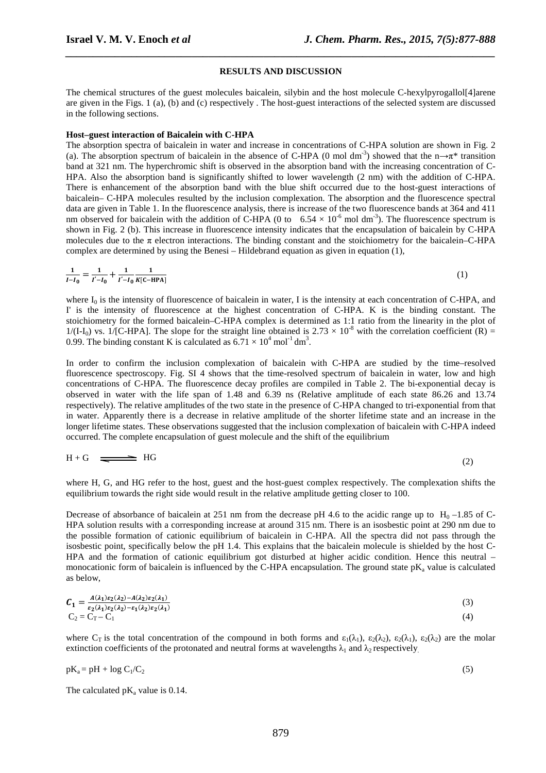#### **RESULTS AND DISCUSSION**

*\_\_\_\_\_\_\_\_\_\_\_\_\_\_\_\_\_\_\_\_\_\_\_\_\_\_\_\_\_\_\_\_\_\_\_\_\_\_\_\_\_\_\_\_\_\_\_\_\_\_\_\_\_\_\_\_\_\_\_\_\_\_\_\_\_\_\_\_\_\_\_\_\_\_\_\_\_\_*

The chemical structures of the guest molecules baicalein, silybin and the host molecule C-hexylpyrogallol[4]arene are given in the Figs. 1 (a), (b) and (c) respectively . The host-guest interactions of the selected system are discussed in the following sections.

#### **Host–guest interaction of Baicalein with C-HPA**

The absorption spectra of baicalein in water and increase in concentrations of C-HPA solution are shown in Fig. 2 (a). The absorption spectrum of baicalein in the absence of C-HPA (0 mol dm<sup>-3</sup>) showed that the n→π<sup>\*</sup> transition band at 321 nm. The hyperchromic shift is observed in the absorption band with the increasing concentration of C-HPA. Also the absorption band is significantly shifted to lower wavelength (2 nm) with the addition of C-HPA. There is enhancement of the absorption band with the blue shift occurred due to the host-guest interactions of baicalein– C-HPA molecules resulted by the inclusion complexation. The absorption and the fluorescence spectral data are given in Table 1. In the fluorescence analysis, there is increase of the two fluorescence bands at 364 and 411 nm observed for baicalein with the addition of C-HPA (0 to  $6.54 \times 10^{-6}$  mol dm<sup>-3</sup>). The fluorescence spectrum is shown in Fig. 2 (b). This increase in fluorescence intensity indicates that the encapsulation of baicalein by C-HPA molecules due to the π electron interactions. The binding constant and the stoichiometry for the baicalein–C-HPA complex are determined by using the Benesi – Hildebrand equation as given in equation (1),

$$
\frac{1}{I - I_0} = \frac{1}{I' - I_0} + \frac{1}{I' - I_0} \frac{1}{K[\text{C}-\text{HPA}]}
$$
(1)

where  $I_0$  is the intensity of fluorescence of baicalein in water, I is the intensity at each concentration of C-HPA, and I' is the intensity of fluorescence at the highest concentration of C-HPA. K is the binding constant. The stoichiometry for the formed baicalein–C-HPA complex is determined as 1:1 ratio from the linearity in the plot of  $1/(I-I_0)$  vs.  $1/[C-HPA]$ . The slope for the straight line obtained is  $2.73 \times 10^{-8}$  with the correlation coefficient (R) = 0.99. The binding constant K is calculated as  $6.71 \times 10^4$  mol<sup>-1</sup> dm<sup>3</sup>.

In order to confirm the inclusion complexation of baicalein with C-HPA are studied by the time–resolved fluorescence spectroscopy. Fig. SI 4 shows that the time-resolved spectrum of baicalein in water, low and high concentrations of C-HPA. The fluorescence decay profiles are compiled in Table 2. The bi-exponential decay is observed in water with the life span of 1.48 and 6.39 ns (Relative amplitude of each state 86.26 and 13.74 respectively). The relative amplitudes of the two state in the presence of C-HPA changed to tri-exponential from that in water. Apparently there is a decrease in relative amplitude of the shorter lifetime state and an increase in the longer lifetime states. These observations suggested that the inclusion complexation of baicalein with C-HPA indeed occurred. The complete encapsulation of guest molecule and the shift of the equilibrium

$$
H + G \quad \Longrightarrow \quad HG \tag{2}
$$

where H, G, and HG refer to the host, guest and the host-guest complex respectively. The complexation shifts the equilibrium towards the right side would result in the relative amplitude getting closer to 100.

Decrease of absorbance of baicalein at 251 nm from the decrease pH 4.6 to the acidic range up to  $H_0$  –1.85 of C-HPA solution results with a corresponding increase at around 315 nm. There is an isosbestic point at 290 nm due to the possible formation of cationic equilibrium of baicalein in C-HPA. All the spectra did not pass through the isosbestic point, specifically below the pH 1.4. This explains that the baicalein molecule is shielded by the host C-HPA and the formation of cationic equilibrium got disturbed at higher acidic condition. Hence this neutral – monocationic form of baicalein is influenced by the C-HPA encapsulation. The ground state  $pK_a$  value is calculated as below,

$$
C_1 = \frac{A(\lambda_1)\varepsilon_2(\lambda_2) - A(\lambda_2)\varepsilon_2(\lambda_1)}{\varepsilon_2(\lambda_1)\varepsilon_2(\lambda_2) - \varepsilon_1(\lambda_2)\varepsilon_2(\lambda_1)}
$$
(3)  
C<sub>2</sub> = C<sub>T</sub> - C<sub>1</sub> (4)

where C<sub>T</sub> is the total concentration of the compound in both forms and  $\varepsilon_1(\lambda_1)$ ,  $\varepsilon_2(\lambda_2)$ ,  $\varepsilon_2(\lambda_1)$ ,  $\varepsilon_2(\lambda_2)$  are the molar extinction coefficients of the protonated and neutral forms at wavelengths  $\lambda_1$  and  $\lambda_2$  respectively.

$$
pK_a = pH + log C_1/C_2 \tag{5}
$$

The calculated  $pK_a$  value is 0.14.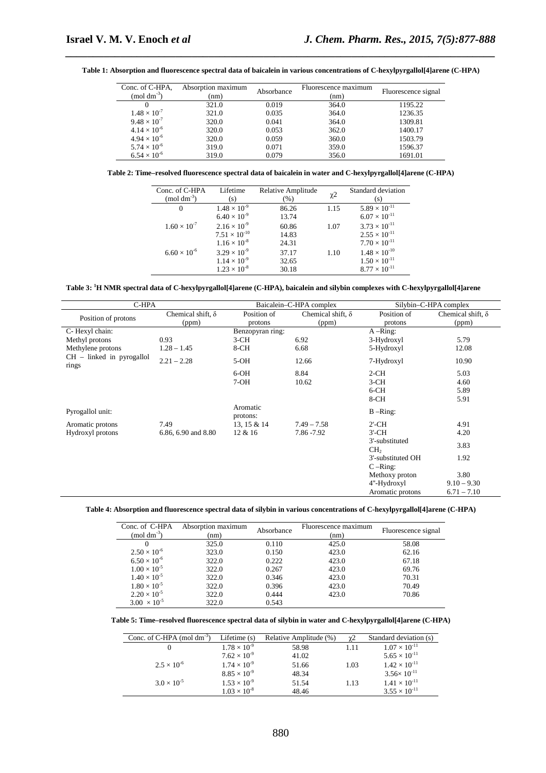| Conc. of C-HPA,<br>$(mod \text{ } dm^{-3})$ | Absorption maximum<br>(nm) | Absorbance | Fluorescence maximum<br>(nm) | Fluorescence signal |
|---------------------------------------------|----------------------------|------------|------------------------------|---------------------|
|                                             | 321.0                      | 0.019      | 364.0                        | 1195.22             |
| $1.48 \times 10^{-7}$                       | 321.0                      | 0.035      | 364.0                        | 1236.35             |
| $9.48 \times 10^{-7}$                       | 320.0                      | 0.041      | 364.0                        | 1309.81             |
| $4.14 \times 10^{-6}$                       | 320.0                      | 0.053      | 362.0                        | 1400.17             |
| $4.94 \times 10^{-6}$                       | 320.0                      | 0.059      | 360.0                        | 1503.79             |
| $5.74 \times 10^{-6}$                       | 319.0                      | 0.071      | 359.0                        | 1596.37             |
| $6.54 \times 10^{-6}$                       | 319.0                      | 0.079      | 356.0                        | 1691.01             |

**Table 1: Absorption and fluorescence spectral data of baicalein in various concentrations of C-hexylpyrgallol[4]arene (C-HPA)** 

*\_\_\_\_\_\_\_\_\_\_\_\_\_\_\_\_\_\_\_\_\_\_\_\_\_\_\_\_\_\_\_\_\_\_\_\_\_\_\_\_\_\_\_\_\_\_\_\_\_\_\_\_\_\_\_\_\_\_\_\_\_\_\_\_\_\_\_\_\_\_\_\_\_\_\_\_\_\_*

**Table 2: Time–resolved fluorescence spectral data of baicalein in water and C-hexylpyrgallol[4]arene (C-HPA)** 

| Conc. of C-HPA<br>$(mod \text{ } dm^{-3})$ | Lifetime<br>(s)        | Relative Amplitude<br>$(\% )$ | $\chi$ 2 | Standard deviation<br>(s) |
|--------------------------------------------|------------------------|-------------------------------|----------|---------------------------|
| $\Omega$                                   | $1.48 \times 10^{-9}$  | 86.26                         | 1.15     | $5.89 \times 10^{-11}$    |
|                                            | $6.40 \times 10^{-9}$  | 13.74                         |          | $6.07 \times 10^{-11}$    |
| $1.60 \times 10^{-7}$                      | $2.16 \times 10^{-9}$  | 60.86                         | 1.07     | $3.73 \times 10^{-11}$    |
|                                            | $7.51 \times 10^{-10}$ | 14.83                         |          | $2.55 \times 10^{-11}$    |
|                                            | $1.16 \times 10^{-8}$  | 24.31                         |          | $7.70 \times 10^{-11}$    |
| $6.60 \times 10^{-6}$                      | $3.29 \times 10^{-9}$  | 37.17                         | 1.10     | $1.48 \times 10^{-10}$    |
|                                            | $1.14 \times 10^{-9}$  | 32.65                         |          | $1.50 \times 10^{-11}$    |
|                                            | $1.23 \times 10^{-8}$  | 30.18                         |          | $8.77 \times 10^{-11}$    |

**Table 3: <sup>1</sup>H NMR spectral data of C-hexylpyrgallol[4]arene (C-HPA), baicalein and silybin complexes with C-hexylpyrgallol[4]arene** 

|                                      | C-HPA                    |                               | Baicalein-C-HPA complex  |                                   | Silybin-C-HPA complex    |
|--------------------------------------|--------------------------|-------------------------------|--------------------------|-----------------------------------|--------------------------|
| Position of protons                  | Chemical shift, $\delta$ | Position of                   | Chemical shift, $\delta$ | Position of                       | Chemical shift, $\delta$ |
|                                      | (ppm)                    | protons                       | (ppm)                    | protons                           | (ppm)                    |
| C- Hexyl chain:                      |                          | Benzopyran ring:              |                          | $A - Ring:$                       |                          |
| Methyl protons                       | 0.93                     | $3-CH$                        | 6.92                     | 3-Hydroxyl                        | 5.79                     |
| Methylene protons                    | $1.28 - 1.45$            | 8-CH                          | 6.68                     | 5-Hydroxyl                        | 12.08                    |
| $CH$ – linked in pyrogallol<br>rings | $2.21 - 2.28$            | $5-OH$<br>12.66<br>7-Hydroxyl |                          |                                   | 10.90                    |
|                                      |                          | $6-OH$                        | 8.84                     | $2-CH$                            | 5.03                     |
|                                      |                          | $7-OH$                        | 10.62                    | $3-CH$                            | 4.60                     |
|                                      |                          |                               |                          | $6-CH$                            | 5.89                     |
|                                      |                          |                               |                          | 8-CH                              | 5.91                     |
| Pyrogallol unit:                     |                          | Aromatic<br>protons:          |                          | $B - Ring$ :                      |                          |
| Aromatic protons                     | 7.49                     | 13, 15 & 14                   | $7.49 - 7.58$            | $2'$ -CH                          | 4.91                     |
| Hydroxyl protons                     | 6.86, 6.90 and 8.80      | 12 & 16                       | 7.86 - 7.92              | $3'$ -CH                          | 4.20                     |
|                                      |                          |                               |                          | 3'-substituted<br>CH <sub>2</sub> | 3.83                     |
|                                      |                          |                               |                          | 3'-substituted OH                 | 1.92                     |
|                                      |                          |                               |                          | $C -$ Ring:                       |                          |
|                                      |                          |                               |                          | Methoxy proton                    | 3.80                     |
|                                      |                          |                               |                          | 4"-Hydroxyl                       | $9.10 - 9.30$            |
|                                      |                          |                               |                          | Aromatic protons                  | $6.71 - 7.10$            |

#### **Table 4: Absorption and fluorescence spectral data of silybin in various concentrations of C-hexylpyrgallol[4]arene (C-HPA)**

| Conc. of C-HPA<br>$(mod \text{ } dm^{-3})$ | Absorption maximum<br>(nm) | Absorbance | Fluorescence maximum<br>(nm) | Fluorescence signal |
|--------------------------------------------|----------------------------|------------|------------------------------|---------------------|
|                                            | 325.0                      | 0.110      | 425.0                        | 58.08               |
| $2.50 \times 10^{-6}$                      | 323.0                      | 0.150      | 423.0                        | 62.16               |
| $6.50 \times 10^{-6}$                      | 322.0                      | 0.222      | 423.0                        | 67.18               |
| $1.00 \times 10^{-5}$                      | 322.0                      | 0.267      | 423.0                        | 69.76               |
| $1.40 \times 10^{-5}$                      | 322.0                      | 0.346      | 423.0                        | 70.31               |
| $1.80 \times 10^{-5}$                      | 322.0                      | 0.396      | 423.0                        | 70.49               |
| $2.20 \times 10^{-5}$                      | 322.0                      | 0.444      | 423.0                        | 70.86               |
| $3.00 \times 10^{-5}$                      | 322.0                      | 0.543      |                              |                     |

**Table 5: Time–resolved fluorescence spectral data of silybin in water and C-hexylpyrgallol[4]arene (C-HPA)** 

| Conc. of C-HPA (mol dm <sup>-3</sup> ) | Lifetime $(s)$        | Relative Amplitude (%) | γ2   | Standard deviation (s) |
|----------------------------------------|-----------------------|------------------------|------|------------------------|
|                                        | $1.78 \times 10^{-9}$ | 58.98                  | 1.11 | $1.07 \times 10^{-11}$ |
|                                        | $7.62 \times 10^{-9}$ | 41.02                  |      | $5.65 \times 10^{-11}$ |
| $2.5 \times 10^{-6}$                   | $1.74 \times 10^{-9}$ | 51.66                  | 1.03 | $1.42 \times 10^{-11}$ |
|                                        | $8.85 \times 10^{-9}$ | 48.34                  |      | $3.56 \times 10^{-11}$ |
| $3.0 \times 10^{-5}$                   | $1.53 \times 10^{-9}$ | 51.54                  | 1.13 | $1.41 \times 10^{-11}$ |
|                                        | $1.03 \times 10^{-8}$ | 48.46                  |      | $3.55 \times 10^{-11}$ |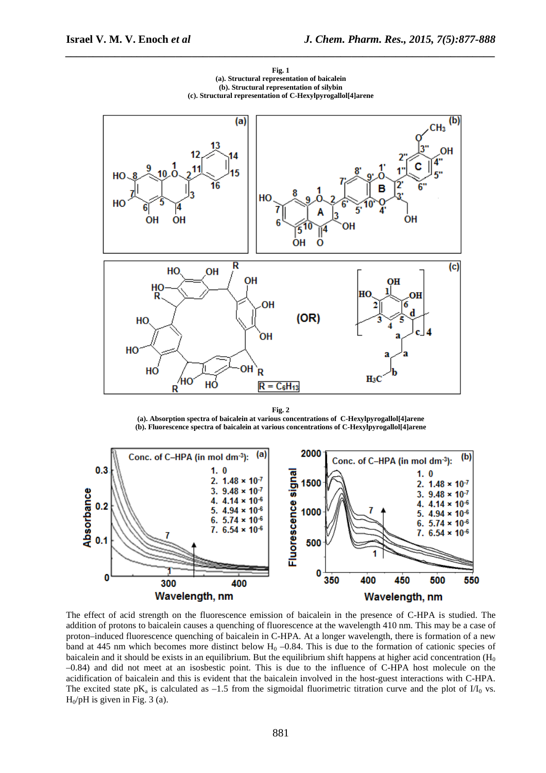

**Fig. 1 (a). Structural representation of baicalein (b). Structural representation of silybin (c). Structural representation of C-Hexylpyrogallol[4]arene** 

*\_\_\_\_\_\_\_\_\_\_\_\_\_\_\_\_\_\_\_\_\_\_\_\_\_\_\_\_\_\_\_\_\_\_\_\_\_\_\_\_\_\_\_\_\_\_\_\_\_\_\_\_\_\_\_\_\_\_\_\_\_\_\_\_\_\_\_\_\_\_\_\_\_\_\_\_\_\_*

**Fig. 2 (a). Absorption spectra of baicalein at various concentrations of C-Hexylpyrogallol[4]arene (b). Fluorescence spectra of baicalein at various concentrations of C-Hexylpyrogallol[4]arene** 



The effect of acid strength on the fluorescence emission of baicalein in the presence of C-HPA is studied. The addition of protons to baicalein causes a quenching of fluorescence at the wavelength 410 nm. This may be a case of proton–induced fluorescence quenching of baicalein in C-HPA. At a longer wavelength, there is formation of a new band at 445 nm which becomes more distinct below  $H_0$  –0.84. This is due to the formation of cationic species of baicalein and it should be exists in an equilibrium. But the equilibrium shift happens at higher acid concentration  $(H_0)$ –0.84) and did not meet at an isosbestic point. This is due to the influence of C-HPA host molecule on the acidification of baicalein and this is evident that the baicalein involved in the host-guest interactions with C-HPA. The excited state  $pK_a$  is calculated as  $-1.5$  from the sigmoidal fluorimetric titration curve and the plot of  $1/I_0$  vs.  $H<sub>0</sub>/pH$  is given in Fig. 3 (a).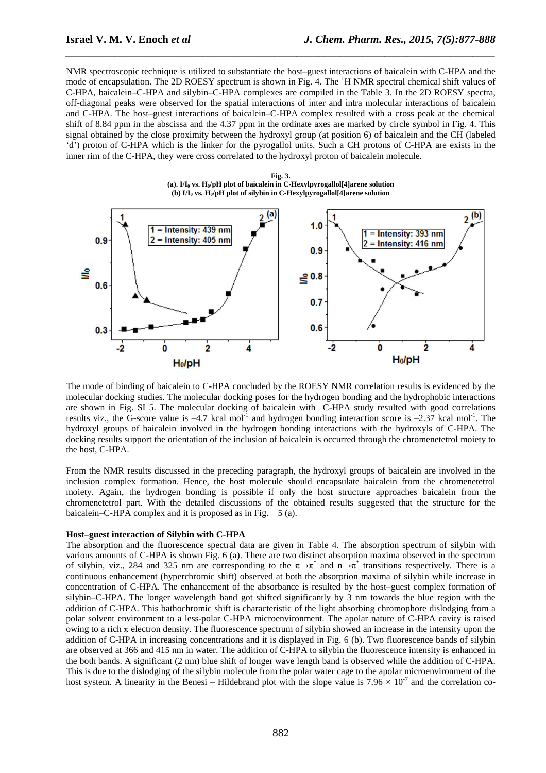NMR spectroscopic technique is utilized to substantiate the host–guest interactions of baicalein with C-HPA and the mode of encapsulation. The 2D ROESY spectrum is shown in Fig. 4. The <sup>1</sup>H NMR spectral chemical shift values of C-HPA, baicalein–C-HPA and silybin–C-HPA complexes are compiled in the Table 3. In the 2D ROESY spectra, off-diagonal peaks were observed for the spatial interactions of inter and intra molecular interactions of baicalein and C-HPA. The host–guest interactions of baicalein–C-HPA complex resulted with a cross peak at the chemical shift of 8.84 ppm in the abscissa and the 4.37 ppm in the ordinate axes are marked by circle symbol in Fig. 4. This signal obtained by the close proximity between the hydroxyl group (at position 6) of baicalein and the CH (labeled 'd') proton of C-HPA which is the linker for the pyrogallol units. Such a CH protons of C-HPA are exists in the inner rim of the C-HPA, they were cross correlated to the hydroxyl proton of baicalein molecule.

*\_\_\_\_\_\_\_\_\_\_\_\_\_\_\_\_\_\_\_\_\_\_\_\_\_\_\_\_\_\_\_\_\_\_\_\_\_\_\_\_\_\_\_\_\_\_\_\_\_\_\_\_\_\_\_\_\_\_\_\_\_\_\_\_\_\_\_\_\_\_\_\_\_\_\_\_\_\_*





The mode of binding of baicalein to C-HPA concluded by the ROESY NMR correlation results is evidenced by the molecular docking studies. The molecular docking poses for the hydrogen bonding and the hydrophobic interactions are shown in Fig. SI 5. The molecular docking of baicalein with C-HPA study resulted with good correlations results viz., the G-score value is  $-4.7$  kcal mol<sup>-1</sup> and hydrogen bonding interaction score is  $-2.37$  kcal mol<sup>-1</sup>. The hydroxyl groups of baicalein involved in the hydrogen bonding interactions with the hydroxyls of C-HPA. The docking results support the orientation of the inclusion of baicalein is occurred through the chromenetetrol moiety to the host, C-HPA.

From the NMR results discussed in the preceding paragraph, the hydroxyl groups of baicalein are involved in the inclusion complex formation. Hence, the host molecule should encapsulate baicalein from the chromenetetrol moiety. Again, the hydrogen bonding is possible if only the host structure approaches baicalein from the chromenetetrol part. With the detailed discussions of the obtained results suggested that the structure for the baicalein–C-HPA complex and it is proposed as in Fig. 5 (a).

#### **Host–guest interaction of Silybin with C-HPA**

The absorption and the fluorescence spectral data are given in Table 4. The absorption spectrum of silybin with various amounts of C-HPA is shown Fig. 6 (a). There are two distinct absorption maxima observed in the spectrum of silybin, viz., 284 and 325 nm are corresponding to the  $\pi \rightarrow \pi^*$  and  $n \rightarrow \pi^*$  transitions respectively. There is a continuous enhancement (hyperchromic shift) observed at both the absorption maxima of silybin while increase in concentration of C-HPA. The enhancement of the absorbance is resulted by the host–guest complex formation of silybin–C-HPA. The longer wavelength band got shifted significantly by 3 nm towards the blue region with the addition of C-HPA. This bathochromic shift is characteristic of the light absorbing chromophore dislodging from a polar solvent environment to a less-polar C-HPA microenvironment. The apolar nature of C-HPA cavity is raised owing to a rich π electron density. The fluorescence spectrum of silybin showed an increase in the intensity upon the addition of C-HPA in increasing concentrations and it is displayed in Fig. 6 (b). Two fluorescence bands of silybin are observed at 366 and 415 nm in water. The addition of C-HPA to silybin the fluorescence intensity is enhanced in the both bands. A significant (2 nm) blue shift of longer wave length band is observed while the addition of C-HPA. This is due to the dislodging of the silybin molecule from the polar water cage to the apolar microenvironment of the host system. A linearity in the Benesi – Hildebrand plot with the slope value is  $7.96 \times 10^{-7}$  and the correlation co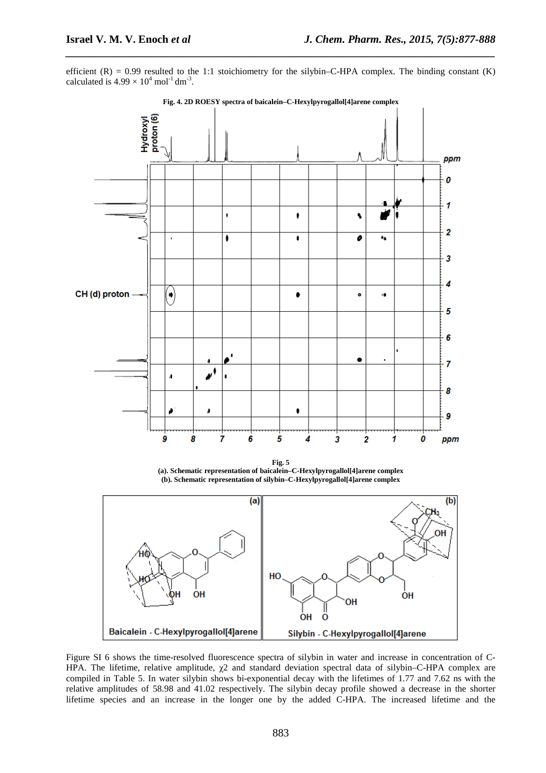efficient  $(R) = 0.99$  resulted to the 1:1 stoichiometry for the silybin–C-HPA complex. The binding constant  $(K)$ calculated is  $4.99 \times 10^4$  mol<sup>-1</sup> dm<sup>-3</sup>.

*\_\_\_\_\_\_\_\_\_\_\_\_\_\_\_\_\_\_\_\_\_\_\_\_\_\_\_\_\_\_\_\_\_\_\_\_\_\_\_\_\_\_\_\_\_\_\_\_\_\_\_\_\_\_\_\_\_\_\_\_\_\_\_\_\_\_\_\_\_\_\_\_\_\_\_\_\_\_*



**Fig. 4. 2D ROESY spectra of baicalein–C-Hexylpyrogallol[4]arene complex** 

**Fig. 5 (a). Schematic representation of baicalein–C-Hexylpyrogallol[4]arene complex (b). Schematic representation of silybin–C-Hexylpyrogallol[4]arene complex** 



Figure SI 6 shows the time-resolved fluorescence spectra of silybin in water and increase in concentration of C-HPA. The lifetime, relative amplitude, χ2 and standard deviation spectral data of silybin–C-HPA complex are compiled in Table 5. In water silybin shows bi-exponential decay with the lifetimes of 1.77 and 7.62 ns with the relative amplitudes of 58.98 and 41.02 respectively. The silybin decay profile showed a decrease in the shorter lifetime species and an increase in the longer one by the added C-HPA. The increased lifetime and the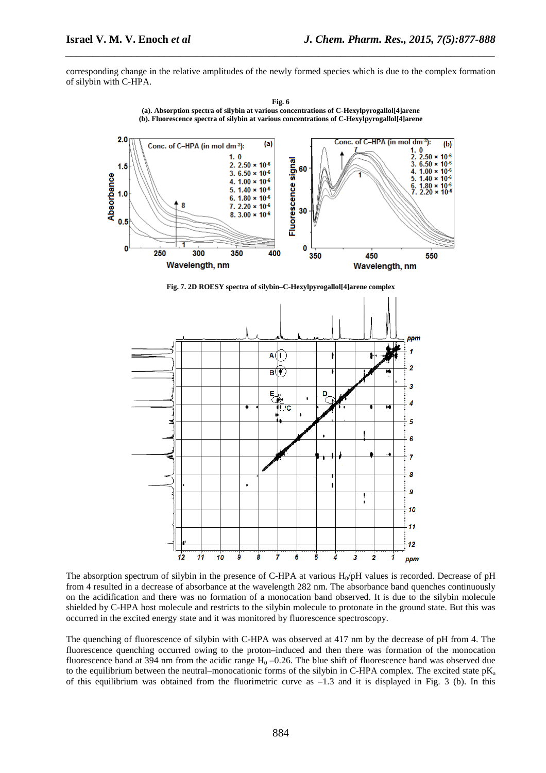corresponding change in the relative amplitudes of the newly formed species which is due to the complex formation of silybin with C-HPA.

*\_\_\_\_\_\_\_\_\_\_\_\_\_\_\_\_\_\_\_\_\_\_\_\_\_\_\_\_\_\_\_\_\_\_\_\_\_\_\_\_\_\_\_\_\_\_\_\_\_\_\_\_\_\_\_\_\_\_\_\_\_\_\_\_\_\_\_\_\_\_\_\_\_\_\_\_\_\_*



**Fig. 6 (a). Absorption spectra of silybin at various concentrations of C-Hexylpyrogallol[4]arene (b). Fluorescence spectra of silybin at various concentrations of C-Hexylpyrogallol[4]arene** 

**Fig. 7. 2D ROESY spectra of silybin–C-Hexylpyrogallol[4]arene complex** 



The absorption spectrum of silybin in the presence of C-HPA at various  $H_0$ pH values is recorded. Decrease of pH from 4 resulted in a decrease of absorbance at the wavelength 282 nm. The absorbance band quenches continuously on the acidification and there was no formation of a monocation band observed. It is due to the silybin molecule shielded by C-HPA host molecule and restricts to the silybin molecule to protonate in the ground state. But this was occurred in the excited energy state and it was monitored by fluorescence spectroscopy.

The quenching of fluorescence of silybin with C-HPA was observed at 417 nm by the decrease of pH from 4. The fluorescence quenching occurred owing to the proton–induced and then there was formation of the monocation fluorescence band at 394 nm from the acidic range  $H_0 - 0.26$ . The blue shift of fluorescence band was observed due to the equilibrium between the neutral–monocationic forms of the silybin in C-HPA complex. The excited state  $pK_a$ of this equilibrium was obtained from the fluorimetric curve as  $-1.3$  and it is displayed in Fig. 3 (b). In this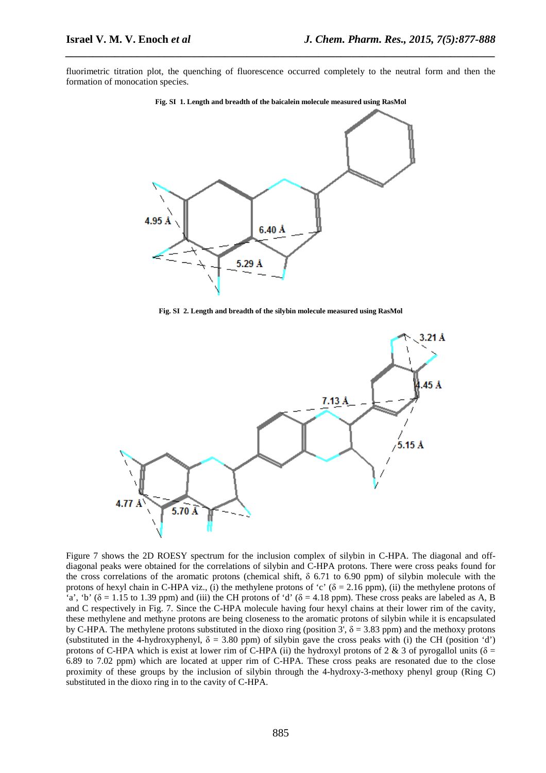fluorimetric titration plot, the quenching of fluorescence occurred completely to the neutral form and then the formation of monocation species.

*\_\_\_\_\_\_\_\_\_\_\_\_\_\_\_\_\_\_\_\_\_\_\_\_\_\_\_\_\_\_\_\_\_\_\_\_\_\_\_\_\_\_\_\_\_\_\_\_\_\_\_\_\_\_\_\_\_\_\_\_\_\_\_\_\_\_\_\_\_\_\_\_\_\_\_\_\_\_*



**Fig. SI 1. Length and breadth of the baicalein molecule measured using RasMol** 

**Fig. SI 2. Length and breadth of the silybin molecule measured using RasMol** 



Figure 7 shows the 2D ROESY spectrum for the inclusion complex of silybin in C-HPA. The diagonal and offdiagonal peaks were obtained for the correlations of silybin and C-HPA protons. There were cross peaks found for the cross correlations of the aromatic protons (chemical shift,  $\delta$  6.71 to 6.90 ppm) of silybin molecule with the protons of hexyl chain in C-HPA viz., (i) the methylene protons of 'c' ( $\delta = 2.16$  ppm), (ii) the methylene protons of 'a', 'b' ( $\delta$  = 1.15 to 1.39 ppm) and (iii) the CH protons of 'd' ( $\delta$  = 4.18 ppm). These cross peaks are labeled as A, B and C respectively in Fig. 7. Since the C-HPA molecule having four hexyl chains at their lower rim of the cavity, these methylene and methyne protons are being closeness to the aromatic protons of silybin while it is encapsulated by C-HPA. The methylene protons substituted in the dioxo ring (position 3',  $\delta = 3.83$  ppm) and the methoxy protons (substituted in the 4-hydroxyphenyl,  $\delta = 3.80$  ppm) of silybin gave the cross peaks with (i) the CH (position 'd') protons of C-HPA which is exist at lower rim of C-HPA (ii) the hydroxyl protons of 2 & 3 of pyrogallol units ( $\delta$  = 6.89 to 7.02 ppm) which are located at upper rim of C-HPA. These cross peaks are resonated due to the close proximity of these groups by the inclusion of silybin through the 4-hydroxy-3-methoxy phenyl group (Ring C) substituted in the dioxo ring in to the cavity of C-HPA.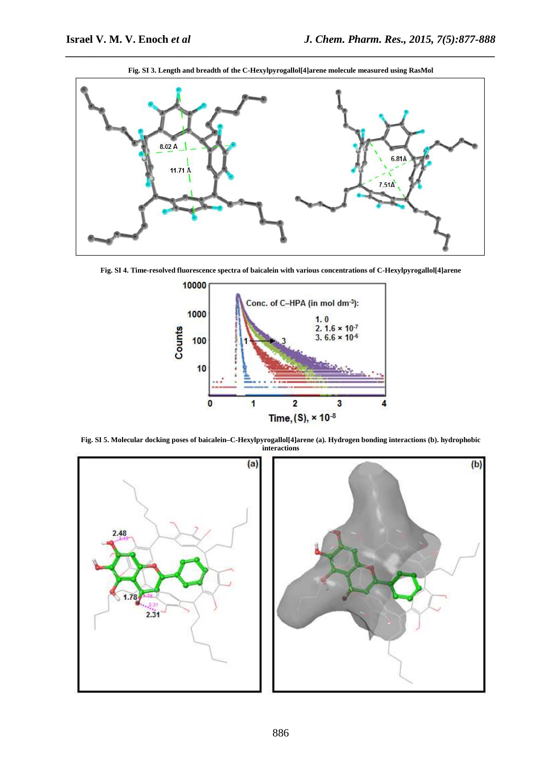

**Fig. SI 3. Length and breadth of the C-Hexylpyrogallol[4]arene molecule measured using RasMol** 

*\_\_\_\_\_\_\_\_\_\_\_\_\_\_\_\_\_\_\_\_\_\_\_\_\_\_\_\_\_\_\_\_\_\_\_\_\_\_\_\_\_\_\_\_\_\_\_\_\_\_\_\_\_\_\_\_\_\_\_\_\_\_\_\_\_\_\_\_\_\_\_\_\_\_\_\_\_\_*

**Fig. SI 4. Time-resolved fluorescence spectra of baicalein with various concentrations of C-Hexylpyrogallol[4]arene** 



**Fig. SI 5. Molecular docking poses of baicalein–C-Hexylpyrogallol[4]arene (a). Hydrogen bonding interactions (b). hydrophobic interactions** 

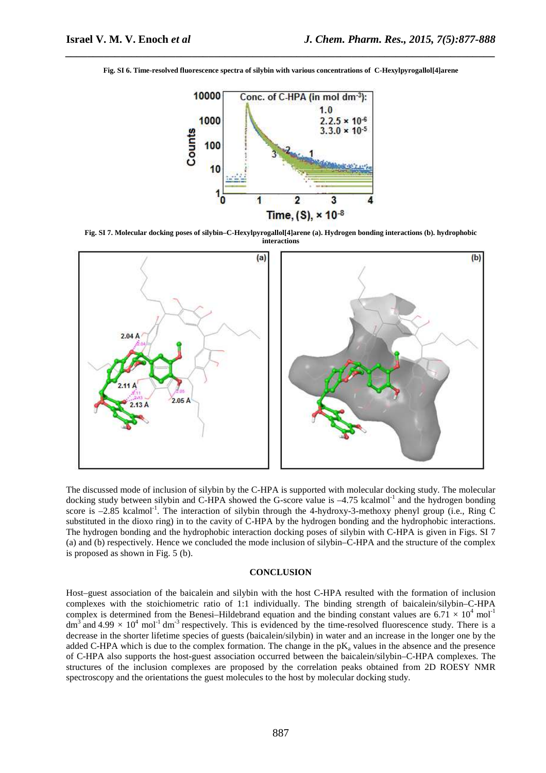*\_\_\_\_\_\_\_\_\_\_\_\_\_\_\_\_\_\_\_\_\_\_\_\_\_\_\_\_\_\_\_\_\_\_\_\_\_\_\_\_\_\_\_\_\_\_\_\_\_\_\_\_\_\_\_\_\_\_\_\_\_\_\_\_\_\_\_\_\_\_\_\_\_\_\_\_\_\_* **Fig. SI 6. Time-resolved fluorescence spectra of silybin with various concentrations of C-Hexylpyrogallol[4]arene** 



**Fig. SI 7. Molecular docking poses of silybin–C-Hexylpyrogallol[4]arene (a). Hydrogen bonding interactions (b). hydrophobic interactions** 



The discussed mode of inclusion of silybin by the C-HPA is supported with molecular docking study. The molecular docking study between silybin and C-HPA showed the G-score value is  $-4.75$  kcalmol<sup>-1</sup> and the hydrogen bonding score is  $-2.85$  kcalmol<sup>-1</sup>. The interaction of silybin through the 4-hydroxy-3-methoxy phenyl group (i.e., Ring C substituted in the dioxo ring) in to the cavity of C-HPA by the hydrogen bonding and the hydrophobic interactions. The hydrogen bonding and the hydrophobic interaction docking poses of silybin with C-HPA is given in Figs. SI 7 (a) and (b) respectively. Hence we concluded the mode inclusion of silybin–C-HPA and the structure of the complex is proposed as shown in Fig. 5 (b).

#### **CONCLUSION**

Host–guest association of the baicalein and silybin with the host C-HPA resulted with the formation of inclusion complexes with the stoichiometric ratio of 1:1 individually. The binding strength of baicalein/silybin–C-HPA complex is determined from the Benesi–Hildebrand equation and the binding constant values are  $6.71 \times 10^4$  mol<sup>-1</sup> dm<sup>3</sup> and 4.99  $\times$  10<sup>4</sup> mol<sup>-1</sup> dm<sup>-3</sup> respectively. This is evidenced by the time-resolved fluorescence study. There is a decrease in the shorter lifetime species of guests (baicalein/silybin) in water and an increase in the longer one by the added C-HPA which is due to the complex formation. The change in the  $pK_a$  values in the absence and the presence of C-HPA also supports the host-guest association occurred between the baicalein/silybin–C-HPA complexes. The structures of the inclusion complexes are proposed by the correlation peaks obtained from 2D ROESY NMR spectroscopy and the orientations the guest molecules to the host by molecular docking study.